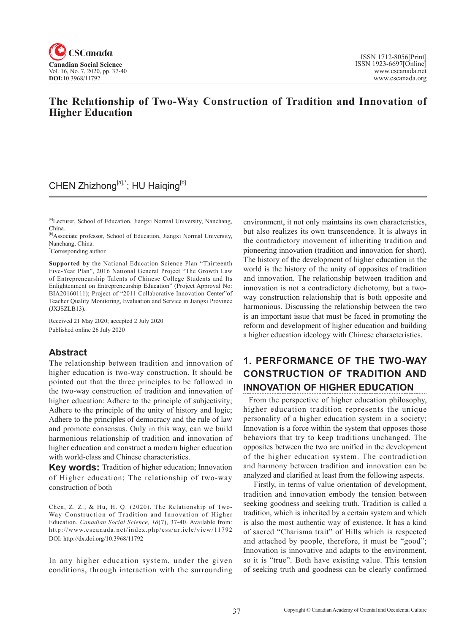

## **The Relationship of Two-Way Construction of Tradition and Innovation of Higher Education**

# CHEN Zhizhong[a],\*; HU Haiqing[b]

[a]Lecturer, School of Education, Jiangxi Normal University, Nanchang, China.

[b]Associate professor, School of Education, Jiangxi Normal University, Nanchang, China.

\* Corresponding author.

**Supported by** the National Education Science Plan "Thirteenth Five-Year Plan", 2016 National General Project "The Growth Law of Entrepreneurship Talents of Chinese College Students and Its Enlightenment on Entrepreneurship Education" (Project Approval No: BIA20160111); Project of "2011 Collaborative Innovation Center"of Teacher Quality Monitoring, Evaluation and Service in Jiangxi Province (JXJSZLB13).

Received 21 May 2020; accepted 2 July 2020 Published online 26 July 2020

### **Abstract**

**T**he relationship between tradition and innovation of higher education is two-way construction. It should be pointed out that the three principles to be followed in the two-way construction of tradition and innovation of higher education: Adhere to the principle of subjectivity; Adhere to the principle of the unity of history and logic; Adhere to the principles of democracy and the rule of law and promote consensus. Only in this way, can we build harmonious relationship of tradition and innovation of higher education and construct a modern higher education with world-class and Chinese characteristics.

**Key words:** Tradition of higher education; Innovation of Higher education; The relationship of two-way construction of both

Chen, Z. Z., & Hu, H. Q. (2020). The Relationship of Two-Way Construction of Tradition and Innovation of Higher Education. *Canadian Social Science*, <sup>16</sup>(7), 37-40. Available from: http://www.cscanada.net/index.php/css/article/view/11792 DOI: http://dx.doi.org/10.3968/11792

In any higher education system, under the given conditions, through interaction with the surrounding

environment, it not only maintains its own characteristics, but also realizes its own transcendence. It is always in the contradictory movement of inheriting tradition and pioneering innovation (tradition and innovation for short). The history of the development of higher education in the world is the history of the unity of opposites of tradition and innovation. The relationship between tradition and innovation is not a contradictory dichotomy, but a twoway construction relationship that is both opposite and harmonious. Discussing the relationship between the two is an important issue that must be faced in promoting the reform and development of higher education and building a higher education ideology with Chinese characteristics.

## **1. PERFORMANCE OF THE TWO-WAY CONSTRUCTION OF TRADITION AND INNOVATION OF HIGHER EDUCATION**

 From the perspective of higher education philosophy, higher education tradition represents the unique personality of a higher education system in a society; Innovation is a force within the system that opposes those behaviors that try to keep traditions unchanged. The opposites between the two are unified in the development of the higher education system. The contradiction and harmony between tradition and innovation can be analyzed and clarified at least from the following aspects.

Firstly, in terms of value orientation of development, tradition and innovation embody the tension between seeking goodness and seeking truth. Tradition is called a tradition, which is inherited by a certain system and which is also the most authentic way of existence. It has a kind of sacred "Charisma trait" of Hills which is respected and attached by people, therefore, it must be "good"; Innovation is innovative and adapts to the environment, so it is "true". Both have existing value. This tension of seeking truth and goodness can be clearly confirmed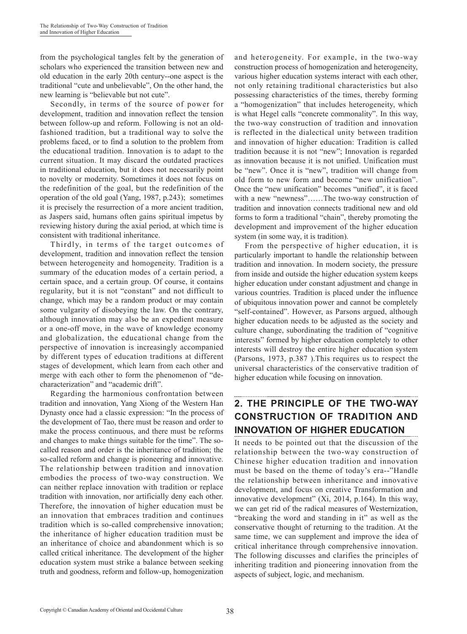from the psychological tangles felt by the generation of scholars who experienced the transition between new and old education in the early 20th century--one aspect is the traditional "cute and unbelievable", On the other hand, the new learning is "believable but not cute".

Secondly, in terms of the source of power for development, tradition and innovation reflect the tension between follow-up and reform. Following is not an oldfashioned tradition, but a traditional way to solve the problems faced, or to find a solution to the problem from the educational tradition. Innovation is to adapt to the current situation. It may discard the outdated practices in traditional education, but it does not necessarily point to novelty or modernity. Sometimes it does not focus on the redefinition of the goal, but the redefinition of the operation of the old goal (Yang, 1987, p.243); sometimes it is precisely the resurrection of a more ancient tradition, as Jaspers said, humans often gains spiritual impetus by reviewing history during the axial period, at which time is consistent with traditional inheritance.

Thirdly, in terms of the target outcomes of development, tradition and innovation reflect the tension between heterogeneity and homogeneity. Tradition is a summary of the education modes of a certain period, a certain space, and a certain group. Of course, it contains regularity, but it is not "constant" and not difficult to change, which may be a random product or may contain some vulgarity of disobeying the law. On the contrary, although innovation may also be an expedient measure or a one-off move, in the wave of knowledge economy and globalization, the educational change from the perspective of innovation is increasingly accompanied by different types of education traditions at different stages of development, which learn from each other and merge with each other to form the phenomenon of "decharacterization" and "academic drift".

Regarding the harmonious confrontation between tradition and innovation, Yang Xiong of the Western Han Dynasty once had a classic expression: "In the process of the development of Tao, there must be reason and order to make the process continuous, and there must be reforms and changes to make things suitable for the time". The socalled reason and order is the inheritance of tradition; the so-called reform and change is pioneering and innovative. The relationship between tradition and innovation embodies the process of two-way construction. We can neither replace innovation with tradition or replace tradition with innovation, nor artificially deny each other. Therefore, the innovation of higher education must be an innovation that embraces tradition and continues tradition which is so-called comprehensive innovation; the inheritance of higher education tradition must be an inheritance of choice and abandonment which is so called critical inheritance. The development of the higher education system must strike a balance between seeking truth and goodness, reform and follow-up, homogenization and heterogeneity. For example, in the two-way construction process of homogenization and heterogeneity, various higher education systems interact with each other, not only retaining traditional characteristics but also possessing characteristics of the times, thereby forming a "homogenization" that includes heterogeneity, which is what Hegel calls "concrete commonality". In this way, the two-way construction of tradition and innovation is reflected in the dialectical unity between tradition and innovation of higher education: Tradition is called tradition because it is not "new"; Innovation is regarded as innovation because it is not unified. Unification must be "new". Once it is "new", tradition will change from old form to new form and become "new unification". Once the "new unification" becomes "unified", it is faced with a new "newness"……The two-way construction of tradition and innovation connects traditional new and old forms to form a traditional "chain", thereby promoting the development and improvement of the higher education system (in some way, it is tradition).

From the perspective of higher education, it is particularly important to handle the relationship between tradition and innovation. In modern society, the pressure from inside and outside the higher education system keeps higher education under constant adjustment and change in various countries. Tradition is placed under the influence of ubiquitous innovation power and cannot be completely "self-contained". However, as Parsons argued, although higher education needs to be adjusted as the society and culture change, subordinating the tradition of "cognitive interests" formed by higher education completely to other interests will destroy the entire higher education system (Parsons, 1973, p.387 ).This requires us to respect the universal characteristics of the conservative tradition of higher education while focusing on innovation.

# **2. THE PRINCIPLE OF THE TWO-WAY CONSTRUCTION OF TRADITION AND INNOVATION OF HIGHER EDUCATION**

It needs to be pointed out that the discussion of the relationship between the two-way construction of Chinese higher education tradition and innovation must be based on the theme of today's era--"Handle the relationship between inheritance and innovative development, and focus on creative Transformation and innovative development" (Xi, 2014, p.164). In this way, we can get rid of the radical measures of Westernization, "breaking the word and standing in it" as well as the conservative thought of returning to the tradition. At the same time, we can supplement and improve the idea of critical inheritance through comprehensive innovation. The following discusses and clarifies the principles of inheriting tradition and pioneering innovation from the aspects of subject, logic, and mechanism.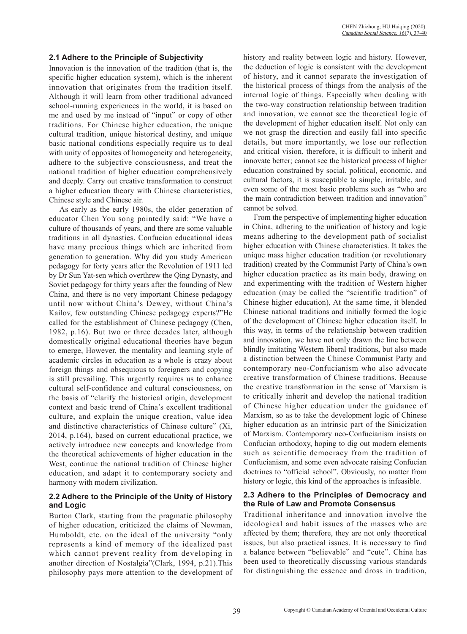### **2.1 Adhere to the Principle of Subjectivity**

Innovation is the innovation of the tradition (that is, the specific higher education system), which is the inherent innovation that originates from the tradition itself. Although it will learn from other traditional advanced school-running experiences in the world, it is based on me and used by me instead of "input" or copy of other traditions. For Chinese higher education, the unique cultural tradition, unique historical destiny, and unique basic national conditions especially require us to deal with unity of opposites of homogeneity and heterogeneity, adhere to the subjective consciousness, and treat the national tradition of higher education comprehensively and deeply. Carry out creative transformation to construct a higher education theory with Chinese characteristics, Chinese style and Chinese air.

As early as the early 1980s, the older generation of educator Chen You song pointedly said: "We have a culture of thousands of years, and there are some valuable traditions in all dynasties. Confucian educational ideas have many precious things which are inherited from generation to generation. Why did you study American pedagogy for forty years after the Revolution of 1911 led by Dr Sun Yat-sen which overthrew the Qing Dynasty, and Soviet pedagogy for thirty years after the founding of New China, and there is no very important Chinese pedagogy until now without China's Dewey, without China's Kailov, few outstanding Chinese pedagogy experts?"He called for the establishment of Chinese pedagogy (Chen, 1982, p.16). But two or three decades later, although domestically original educational theories have begun to emerge, However, the mentality and learning style of academic circles in education as a whole is crazy about foreign things and obsequious to foreigners and copying is still prevailing. This urgently requires us to enhance cultural self-confidence and cultural consciousness, on the basis of "clarify the historical origin, development context and basic trend of China's excellent traditional culture, and explain the unique creation, value idea and distinctive characteristics of Chinese culture" (Xi, 2014, p.164), based on current educational practice, we actively introduce new concepts and knowledge from the theoretical achievements of higher education in the West, continue the national tradition of Chinese higher education, and adapt it to contemporary society and harmony with modern civilization.

### **2.2 Adhere to the Principle of the Unity of History and Logic**

Burton Clark, starting from the pragmatic philosophy of higher education, criticized the claims of Newman, Humboldt, etc. on the ideal of the university "only represents a kind of memory of the idealized past which cannot prevent reality from developing in another direction of Nostalgia"(Clark, 1994, p.21).This philosophy pays more attention to the development of history and reality between logic and history. However, the deduction of logic is consistent with the development of history, and it cannot separate the investigation of the historical process of things from the analysis of the internal logic of things. Especially when dealing with the two-way construction relationship between tradition and innovation, we cannot see the theoretical logic of the development of higher education itself. Not only can we not grasp the direction and easily fall into specific details, but more importantly, we lose our reflection and critical vision, therefore, it is difficult to inherit and innovate better; cannot see the historical process of higher education constrained by social, political, economic, and cultural factors, it is susceptible to simple, irritable, and even some of the most basic problems such as "who are the main contradiction between tradition and innovation" cannot be solved.

From the perspective of implementing higher education in China, adhering to the unification of history and logic means adhering to the development path of socialist higher education with Chinese characteristics. It takes the unique mass higher education tradition (or revolutionary tradition) created by the Communist Party of China's own higher education practice as its main body, drawing on and experimenting with the tradition of Western higher education (may be called the "scientific tradition" of Chinese higher education), At the same time, it blended Chinese national traditions and initially formed the logic of the development of Chinese higher education itself. In this way, in terms of the relationship between tradition and innovation, we have not only drawn the line between blindly imitating Western liberal traditions, but also made a distinction between the Chinese Communist Party and contemporary neo-Confucianism who also advocate creative transformation of Chinese traditions. Because the creative transformation in the sense of Marxism is to critically inherit and develop the national tradition of Chinese higher education under the guidance of Marxism, so as to take the development logic of Chinese higher education as an intrinsic part of the Sinicization of Marxism. Contemporary neo-Confucianism insists on Confucian orthodoxy, hoping to dig out modern elements such as scientific democracy from the tradition of Confucianism, and some even advocate raising Confucian doctrines to "official school". Obviously, no matter from history or logic, this kind of the approaches is infeasible.

### **2.3 Adhere to the Principles of Democracy and the Rule of Law and Promote Consensus**

Traditional inheritance and innovation involve the ideological and habit issues of the masses who are affected by them; therefore, they are not only theoretical issues, but also practical issues. It is necessary to find a balance between "believable" and "cute". China has been used to theoretically discussing various standards for distinguishing the essence and dross in tradition,